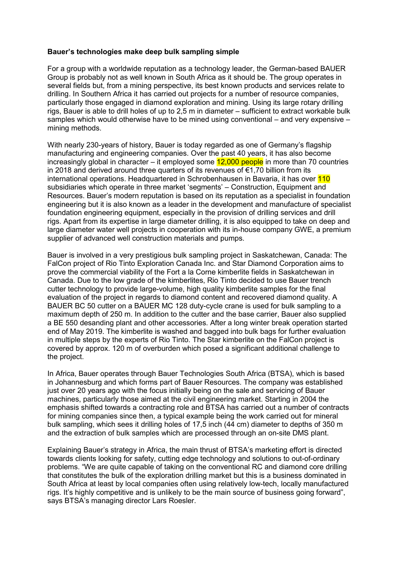## **Bauer's technologies make deep bulk sampling simple**

For a group with a worldwide reputation as a technology leader, the German-based BAUER Group is probably not as well known in South Africa as it should be. The group operates in several fields but, from a mining perspective, its best known products and services relate to drilling. In Southern Africa it has carried out projects for a number of resource companies, particularly those engaged in diamond exploration and mining. Using its large rotary drilling rigs, Bauer is able to drill holes of up to 2,5 m in diameter – sufficient to extract workable bulk samples which would otherwise have to be mined using conventional – and very expensive – mining methods.

With nearly 230-years of history, Bauer is today regarded as one of Germany's flagship manufacturing and engineering companies. Over the past 40 years, it has also become increasingly global in character – it employed some  $12,000$  people in more than 70 countries in 2018 and derived around three quarters of its revenues of €1,70 billion from its international operations. Headquartered in Schrobenhausen in Bavaria, it has over 110 subsidiaries which operate in three market 'segments' – Construction, Equipment and Resources. Bauer's modern reputation is based on its reputation as a specialist in foundation engineering but it is also known as a leader in the development and manufacture of specialist foundation engineering equipment, especially in the provision of drilling services and drill rigs. Apart from its expertise in large diameter drilling, it is also equipped to take on deep and large diameter water well projects in cooperation with its in-house company GWE, a premium supplier of advanced well construction materials and pumps.

Bauer is involved in a very prestigious bulk sampling project in Saskatchewan, Canada: The FalCon project of Rio Tinto Exploration Canada Inc. and Star Diamond Corporation aims to prove the commercial viability of the Fort a la Corne kimberlite fields in Saskatchewan in Canada. Due to the low grade of the kimberlites, Rio Tinto decided to use Bauer trench cutter technology to provide large-volume, high quality kimberlite samples for the final evaluation of the project in regards to diamond content and recovered diamond quality. A BAUER BC 50 cutter on a BAUER MC 128 duty-cycle crane is used for bulk sampling to a maximum depth of 250 m. In addition to the cutter and the base carrier, Bauer also supplied a BE 550 desanding plant and other accessories. After a long winter break operation started end of May 2019. The kimberlite is washed and bagged into bulk bags for further evaluation in multiple steps by the experts of Rio Tinto. The Star kimberlite on the FalCon project is covered by approx. 120 m of overburden which posed a significant additional challenge to the project.

In Africa, Bauer operates through Bauer Technologies South Africa (BTSA), which is based in Johannesburg and which forms part of Bauer Resources. The company was established just over 20 years ago with the focus initially being on the sale and servicing of Bauer machines, particularly those aimed at the civil engineering market. Starting in 2004 the emphasis shifted towards a contracting role and BTSA has carried out a number of contracts for mining companies since then, a typical example being the work carried out for mineral bulk sampling, which sees it drilling holes of 17,5 inch (44 cm) diameter to depths of 350 m and the extraction of bulk samples which are processed through an on-site DMS plant.

Explaining Bauer's strategy in Africa, the main thrust of BTSA's marketing effort is directed towards clients looking for safety, cutting edge technology and solutions to out-of-ordinary problems. "We are quite capable of taking on the conventional RC and diamond core drilling that constitutes the bulk of the exploration drilling market but this is a business dominated in South Africa at least by local companies often using relatively low-tech, locally manufactured rigs. It's highly competitive and is unlikely to be the main source of business going forward", says BTSA's managing director Lars Roesler.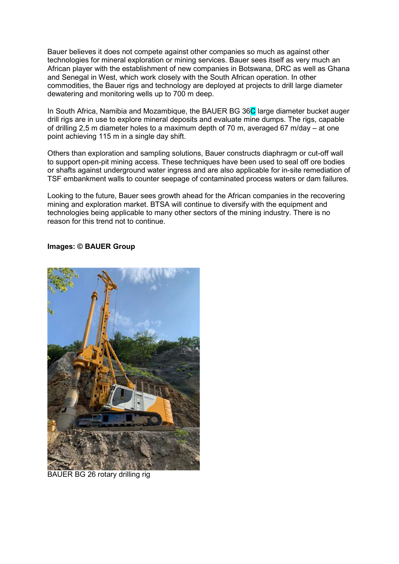Bauer believes it does not compete against other companies so much as against other technologies for mineral exploration or mining services. Bauer sees itself as very much an African player with the establishment of new companies in Botswana, DRC as well as Ghana and Senegal in West, which work closely with the South African operation. In other commodities, the Bauer rigs and technology are deployed at projects to drill large diameter dewatering and monitoring wells up to 700 m deep.

In South Africa, Namibia and Mozambique, the BAUER BG 36C large diameter bucket auger drill rigs are in use to explore mineral deposits and evaluate mine dumps. The rigs, capable of drilling 2,5 m diameter holes to a maximum depth of 70 m, averaged 67 m/day – at one point achieving 115 m in a single day shift.

Others than exploration and sampling solutions, Bauer constructs diaphragm or cut-off wall to support open-pit mining access. These techniques have been used to seal off ore bodies or shafts against underground water ingress and are also applicable for in-site remediation of TSF embankment walls to counter seepage of contaminated process waters or dam failures.

Looking to the future, Bauer sees growth ahead for the African companies in the recovering mining and exploration market. BTSA will continue to diversify with the equipment and technologies being applicable to many other sectors of the mining industry. There is no reason for this trend not to continue.

## **Images: © BAUER Group**



BAUER BG 26 rotary drilling rig